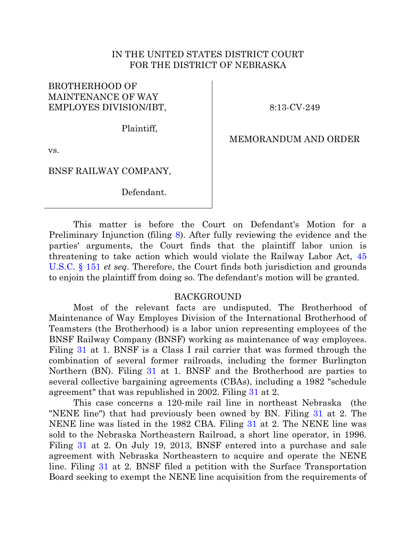### IN THE UNITED STATES DISTRICT COURT FOR THE DISTRICT OF NEBRASKA

# BROTHERHOOD OF MAINTENANCE OF WAY EMPLOYES DIVISION/IBT,

8:13-CV-249

Plaintiff,

MEMORANDUM AND ORDER

vs.

BNSF RAILWAY COMPANY,

Defendant.

This matter is before the Court on Defendant's Motion for a Preliminary Injunction (filing [8\)](https://ecf.ned.uscourts.gov/doc1/11312860592). After fully reviewing the evidence and the parties' arguments, the Court finds that the plaintiff labor union is threatening to take action which would violate the Railway Labor Act, [45](http://westlaw.com/find/default.wl?ft=L&docname=45USCAS151&rs=btil2.0&rp=%2ffind%2fdefault.wl&fn=_top&findtype=L&vr=2.0&db=1000546&wbtoolsId=45USCAS151&HistoryType=F)  [U.S.C. § 151](http://westlaw.com/find/default.wl?ft=L&docname=45USCAS151&rs=btil2.0&rp=%2ffind%2fdefault.wl&fn=_top&findtype=L&vr=2.0&db=1000546&wbtoolsId=45USCAS151&HistoryType=F) *et seq*. Therefore, the Court finds both jurisdiction and grounds to enjoin the plaintiff from doing so. The defendant's motion will be granted.

#### BACKGROUND

Most of the relevant facts are undisputed. The Brotherhood of Maintenance of Way Employes Division of the International Brotherhood of Teamsters (the Brotherhood) is a labor union representing employees of the BNSF Railway Company (BNSF) working as maintenance of way employees. Filing [31](https://ecf.ned.uscourts.gov/doc1/11312876758) at 1. BNSF is a Class I rail carrier that was formed through the combination of several former railroads, including the former Burlington Northern (BN). Filing [31](https://ecf.ned.uscourts.gov/doc1/11312876758) at 1. BNSF and the Brotherhood are parties to several collective bargaining agreements (CBAs), including a 1982 "schedule agreement" that was republished in 2002. Filing [31](https://ecf.ned.uscourts.gov/doc1/11312876758) at 2.

This case concerns a 120-mile rail line in northeast Nebraska (the "NENE line") that had previously been owned by BN. Filing [31](https://ecf.ned.uscourts.gov/doc1/11312876758) at 2. The NENE line was listed in the 1982 CBA. Filing [31](https://ecf.ned.uscourts.gov/doc1/11312876758) at 2. The NENE line was sold to the Nebraska Northeastern Railroad, a short line operator, in 1996. Filing [31](https://ecf.ned.uscourts.gov/doc1/11312876758) at 2. On July 19, 2013, BNSF entered into a purchase and sale agreement with Nebraska Northeastern to acquire and operate the NENE line. Filing [31](https://ecf.ned.uscourts.gov/doc1/11312876758) at 2. BNSF filed a petition with the Surface Transportation Board seeking to exempt the NENE line acquisition from the requirements of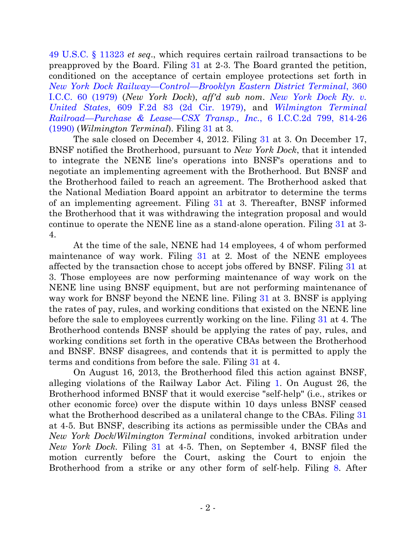[49 U.S.C. § 11323](http://westlaw.com/find/default.wl?ft=L&docname=49USCAS11323&rs=btil2.0&rp=%2ffind%2fdefault.wl&fn=_top&findtype=L&vr=2.0&db=1000546&wbtoolsId=49USCAS11323&HistoryType=F) *et seq*., which requires certain railroad transactions to be preapproved by the Board. Filing [31](https://ecf.ned.uscourts.gov/doc1/11312876758) at 2-3. The Board granted the petition, conditioned on the acceptance of certain employee protections set forth in *New York Dock Railway—Control—[Brooklyn Eastern District Terminal](http://westlaw.com/find/default.wl?ft=Y&db=0003087&rs=btil2.0&rp=%2ffind%2fdefault.wl&serialnum=1979164033&fn=_top&findtype=Y&vr=2.0&wbtoolsId=1979164033&HistoryType=F)*, 360 [I.C.C. 60 \(1979\)](http://westlaw.com/find/default.wl?ft=Y&db=0003087&rs=btil2.0&rp=%2ffind%2fdefault.wl&serialnum=1979164033&fn=_top&findtype=Y&vr=2.0&wbtoolsId=1979164033&HistoryType=F) (*New York Dock*), *aff'd sub nom*. *[New York Dock Ry. v.](http://westlaw.com/find/default.wl?ft=Y&db=0000350&rs=btil2.0&rp=%2ffind%2fdefault.wl&serialnum=1979136953&fn=_top&findtype=Y&vr=2.0&wbtoolsId=1979136953&HistoryType=F)  United States*[, 609 F.2d 83 \(2d Cir. 1979\),](http://westlaw.com/find/default.wl?ft=Y&db=0000350&rs=btil2.0&rp=%2ffind%2fdefault.wl&serialnum=1979136953&fn=_top&findtype=Y&vr=2.0&wbtoolsId=1979136953&HistoryType=F) and *[Wilmington Terminal](http://westlaw.com/find/default.wl?ft=Y&referencepositiontype=S&rs=btil2.0&rp=%2ffind%2fdefault.wl&serialnum=1990395119&fn=_top&referenceposition=814&findtype=Y&vr=2.0&db=0003089&wbtoolsId=1990395119&HistoryType=F)  Railroad—Purchase & Lease—CSX Transp., Inc.*[, 6 I.C.C.2d 799, 814-26](http://westlaw.com/find/default.wl?ft=Y&referencepositiontype=S&rs=btil2.0&rp=%2ffind%2fdefault.wl&serialnum=1990395119&fn=_top&referenceposition=814&findtype=Y&vr=2.0&db=0003089&wbtoolsId=1990395119&HistoryType=F)  [\(1990\)](http://westlaw.com/find/default.wl?ft=Y&referencepositiontype=S&rs=btil2.0&rp=%2ffind%2fdefault.wl&serialnum=1990395119&fn=_top&referenceposition=814&findtype=Y&vr=2.0&db=0003089&wbtoolsId=1990395119&HistoryType=F) (*Wilmington Terminal*). Filing [31](https://ecf.ned.uscourts.gov/doc1/11312876758) at 3.

The sale closed on December 4, 2012. Filing [31](https://ecf.ned.uscourts.gov/doc1/11312876758) at 3. On December 17, BNSF notified the Brotherhood, pursuant to *New York Dock*, that it intended to integrate the NENE line's operations into BNSF's operations and to negotiate an implementing agreement with the Brotherhood. But BNSF and the Brotherhood failed to reach an agreement. The Brotherhood asked that the National Mediation Board appoint an arbitrator to determine the terms of an implementing agreement. Filing [31](https://ecf.ned.uscourts.gov/doc1/11312876758) at 3. Thereafter, BNSF informed the Brotherhood that it was withdrawing the integration proposal and would continue to operate the NENE line as a stand-alone operation. Filing [31](https://ecf.ned.uscourts.gov/doc1/11312876758) at 3- 4.

At the time of the sale, NENE had 14 employees, 4 of whom performed maintenance of way work. Filing [31](https://ecf.ned.uscourts.gov/doc1/11312876758) at 2. Most of the NENE employees affected by the transaction chose to accept jobs offered by BNSF. Filing [31](https://ecf.ned.uscourts.gov/doc1/11312876758) at 3. Those employees are now performing maintenance of way work on the NENE line using BNSF equipment, but are not performing maintenance of way work for BNSF beyond the NENE line. Filing [31](https://ecf.ned.uscourts.gov/doc1/11312876758) at 3. BNSF is applying the rates of pay, rules, and working conditions that existed on the NENE line before the sale to employees currently working on the line. Filing [31](https://ecf.ned.uscourts.gov/doc1/11312876758) at 4. The Brotherhood contends BNSF should be applying the rates of pay, rules, and working conditions set forth in the operative CBAs between the Brotherhood and BNSF. BNSF disagrees, and contends that it is permitted to apply the terms and conditions from before the sale. Filing [31](https://ecf.ned.uscourts.gov/doc1/11312876758) at 4.

On August 16, 2013, the Brotherhood filed this action against BNSF, alleging violations of the Railway Labor Act. Filing [1.](https://ecf.ned.uscourts.gov/doc1/11312846236) On August 26, the Brotherhood informed BNSF that it would exercise "self-help" (i.e., strikes or other economic force) over the dispute within 10 days unless BNSF ceased what the Brotherhood described as a unilateral change to the CBAs. Filing [31](https://ecf.ned.uscourts.gov/doc1/11312876758) at 4-5. But BNSF, describing its actions as permissible under the CBAs and *New York Dock*/*Wilmington Terminal* conditions, invoked arbitration under *New York Dock.* Filing [31](https://ecf.ned.uscourts.gov/doc1/11312876758) at 4-5. Then, on September 4, BNSF filed the motion currently before the Court, asking the Court to enjoin the Brotherhood from a strike or any other form of self-help. Filing [8.](https://ecf.ned.uscourts.gov/doc1/11312860592) After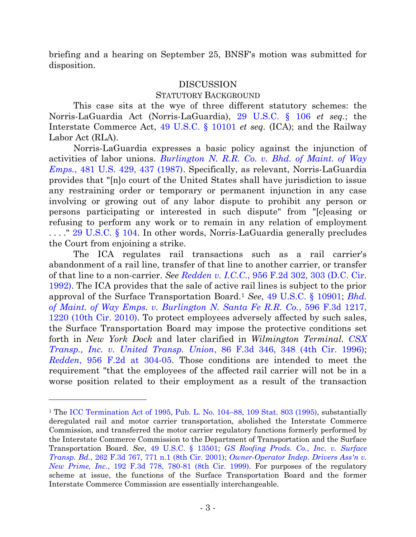briefing and a hearing on September 25, BNSF's motion was submitted for disposition.

### DISCUSSION

### STATUTORY BACKGROUND

This case sits at the wye of three different statutory schemes: the Norris-LaGuardia Act (Norris-LaGuardia), [29 U.S.C. § 106](http://westlaw.com/find/default.wl?ft=L&docname=29USCAS106&rs=btil2.0&rp=%2ffind%2fdefault.wl&fn=_top&findtype=L&vr=2.0&db=1000546&wbtoolsId=29USCAS106&HistoryType=F) *et seq.*; the Interstate Commerce Act, [49 U.S.C. § 10101](http://westlaw.com/find/default.wl?ft=L&docname=49USCAS10101&rs=btil2.0&rp=%2ffind%2fdefault.wl&fn=_top&findtype=L&vr=2.0&db=1000546&wbtoolsId=49USCAS10101&HistoryType=F) *et seq.* (ICA); and the Railway Labor Act (RLA).

Norris-LaGuardia expresses a basic policy against the injunction of activities of labor unions. *[Burlington N. R.R. Co. v. Bhd. of Maint. of Way](http://westlaw.com/find/default.wl?ft=Y&referencepositiontype=S&rs=btil2.0&rp=%2ffind%2fdefault.wl&serialnum=1987052721&fn=_top&referenceposition=437&findtype=Y&vr=2.0&db=0000780&wbtoolsId=1987052721&HistoryType=F)  Emps.*[, 481 U.S. 429, 437 \(1987\).](http://westlaw.com/find/default.wl?ft=Y&referencepositiontype=S&rs=btil2.0&rp=%2ffind%2fdefault.wl&serialnum=1987052721&fn=_top&referenceposition=437&findtype=Y&vr=2.0&db=0000780&wbtoolsId=1987052721&HistoryType=F) Specifically, as relevant, Norris-LaGuardia provides that "[n]o court of the United States shall have jurisdiction to issue any restraining order or temporary or permanent injunction in any case involving or growing out of any labor dispute to prohibit any person or persons participating or interested in such dispute" from "[c]easing or refusing to perform any work or to remain in any relation of employment . . . ." [29 U.S.C. § 104.](http://westlaw.com/find/default.wl?ft=L&docname=29USCAS104&rs=btil2.0&rp=%2ffind%2fdefault.wl&fn=_top&findtype=L&vr=2.0&db=1000546&wbtoolsId=29USCAS104&HistoryType=F) In other words, Norris-LaGuardia generally precludes the Court from enjoining a strike.

The ICA regulates rail transactions such as a rail carrier's abandonment of a rail line, transfer of that line to another carrier, or transfer of that line to a non-carrier. *See Redden v. I.C.C.*[, 956 F.2d 302, 303 \(D.C. Cir.](http://westlaw.com/find/default.wl?ft=Y&referencepositiontype=S&rs=btil2.0&rp=%2ffind%2fdefault.wl&serialnum=1992044071&fn=_top&referenceposition=303&findtype=Y&vr=2.0&db=0000350&wbtoolsId=1992044071&HistoryType=F)  [1992\).](http://westlaw.com/find/default.wl?ft=Y&referencepositiontype=S&rs=btil2.0&rp=%2ffind%2fdefault.wl&serialnum=1992044071&fn=_top&referenceposition=303&findtype=Y&vr=2.0&db=0000350&wbtoolsId=1992044071&HistoryType=F) The ICA provides that the sale of active rail lines is subject to the prior approval of the Surface Transportation Board.<sup>1</sup> *See*, [49 U.S.C. § 10901;](http://westlaw.com/find/default.wl?ft=L&docname=49USCAS10901&rs=btil2.0&rp=%2ffind%2fdefault.wl&fn=_top&findtype=L&vr=2.0&db=1000546&wbtoolsId=49USCAS10901&HistoryType=F) *[Bhd.](http://westlaw.com/find/default.wl?ft=Y&referencepositiontype=S&rs=btil2.0&rp=%2ffind%2fdefault.wl&serialnum=2021455687&fn=_top&referenceposition=1220&findtype=Y&vr=2.0&db=0000506&wbtoolsId=2021455687&HistoryType=F)  of [Maint. of Way Emps. v. Burlington N. Santa Fe R.R. Co.](http://westlaw.com/find/default.wl?ft=Y&referencepositiontype=S&rs=btil2.0&rp=%2ffind%2fdefault.wl&serialnum=2021455687&fn=_top&referenceposition=1220&findtype=Y&vr=2.0&db=0000506&wbtoolsId=2021455687&HistoryType=F)*, 596 F.3d 1217, [1220 \(10th Cir. 2010\).](http://westlaw.com/find/default.wl?ft=Y&referencepositiontype=S&rs=btil2.0&rp=%2ffind%2fdefault.wl&serialnum=2021455687&fn=_top&referenceposition=1220&findtype=Y&vr=2.0&db=0000506&wbtoolsId=2021455687&HistoryType=F) To protect employees adversely affected by such sales, the Surface Transportation Board may impose the protective conditions set forth in *New York Dock* and later clarified in *Wilmington Terminal. [CSX](http://westlaw.com/find/default.wl?ft=Y&referencepositiontype=S&rs=btil2.0&rp=%2ffind%2fdefault.wl&serialnum=1996137224&fn=_top&referenceposition=348&findtype=Y&vr=2.0&db=0000506&wbtoolsId=1996137224&HistoryType=F)  [Transp., Inc. v. United Transp. Union](http://westlaw.com/find/default.wl?ft=Y&referencepositiontype=S&rs=btil2.0&rp=%2ffind%2fdefault.wl&serialnum=1996137224&fn=_top&referenceposition=348&findtype=Y&vr=2.0&db=0000506&wbtoolsId=1996137224&HistoryType=F)*, 86 F.3d 346, 348 (4th Cir. 1996); *Redden*, 956 [F.2d at 304-05.](http://westlaw.com/find/default.wl?ft=Y&referencepositiontype=S&rs=btil2.0&rp=%2ffind%2fdefault.wl&serialnum=1992044071&fn=_top&referenceposition=303&findtype=Y&vr=2.0&db=0000350&wbtoolsId=1992044071&HistoryType=F) Those conditions are intended to meet the requirement "that the employees of the affected rail carrier will not be in a worse position related to their employment as a result of the transaction

<sup>&</sup>lt;sup>1</sup> The [ICC Termination Act of 1995, Pub. L. No. 104](http://web2.westlaw.com/find/default.wl?cite=109+Stat.+803&findjuris=00001&rs=WLW13.10&vr=2.0&rp=%2ffind%2fdefault.wl&sv=Split&fn=_top&mt=Westlaw)–88, 109 Stat. 803 (1995), substantially deregulated rail and motor carrier transportation, abolished the Interstate Commerce Commission, and transferred the motor carrier regulatory functions formerly performed by the Interstate Commerce Commission to the Department of Transportation and the Surface Transportation Board. *See*, [49 U.S.C. § 13501;](http://westlaw.com/find/default.wl?ft=L&docname=49USCAS13501&rs=btil2.0&rp=%2ffind%2fdefault.wl&fn=_top&findtype=L&vr=2.0&db=1000546&wbtoolsId=49USCAS13501&HistoryType=F) *[GS Roofing Prods. Co., Inc. v. Surface](http://westlaw.com/find/default.wl?ft=Y&referencepositiontype=S&rs=btil2.0&rp=%2ffind%2fdefault.wl&serialnum=2001713966&fn=_top&referenceposition=771&findtype=Y&vr=2.0&db=0000506&wbtoolsId=2001713966&HistoryType=F)  Transp. Bd.*[, 262 F.3d 767, 771 n.1 \(8th Cir. 2001\);](http://westlaw.com/find/default.wl?ft=Y&referencepositiontype=S&rs=btil2.0&rp=%2ffind%2fdefault.wl&serialnum=2001713966&fn=_top&referenceposition=771&findtype=Y&vr=2.0&db=0000506&wbtoolsId=2001713966&HistoryType=F) *[Owner-Operator Indep. Drivers Ass'n v.](http://westlaw.com/find/default.wl?ft=Y&referencepositiontype=S&rs=btil2.0&rp=%2ffind%2fdefault.wl&serialnum=1999190150&fn=_top&referenceposition=780&findtype=Y&vr=2.0&db=0000506&wbtoolsId=1999190150&HistoryType=F)  New Prime, Inc.*[, 192 F.3d 778, 780-81 \(8th Cir. 1999\).](http://westlaw.com/find/default.wl?ft=Y&referencepositiontype=S&rs=btil2.0&rp=%2ffind%2fdefault.wl&serialnum=1999190150&fn=_top&referenceposition=780&findtype=Y&vr=2.0&db=0000506&wbtoolsId=1999190150&HistoryType=F) For purposes of the regulatory scheme at issue, the functions of the Surface Transportation Board and the former Interstate Commerce Commission are essentially interchangeable.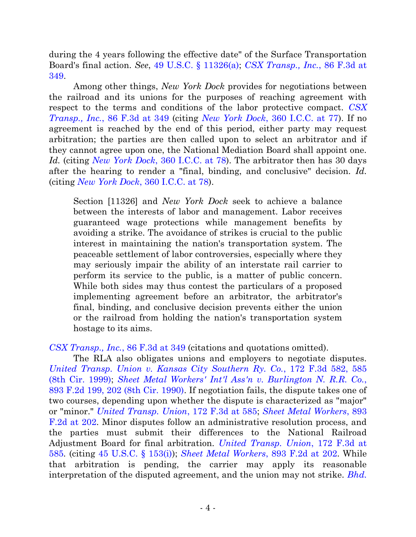during the 4 years following the effective date" of the Surface Transportation Board's final action. *See*, [49 U.S.C. § 11326\(a\);](http://westlaw.com/find/default.wl?ft=L&docname=49USCAS11326&rs=btil2.0&rp=%2ffind%2fdefault.wl&fn=_top&findtype=L&vr=2.0&db=1000546&wbtoolsId=49USCAS11326&HistoryType=F) *[CSX Transp., Inc.](http://westlaw.com/find/default.wl?ft=Y&referencepositiontype=S&rs=btil2.0&rp=%2ffind%2fdefault.wl&serialnum=1996137224&fn=_top&referenceposition=348&findtype=Y&vr=2.0&db=0000506&wbtoolsId=1996137224&HistoryType=F)*, 86 F.3d at [349.](http://westlaw.com/find/default.wl?ft=Y&referencepositiontype=S&rs=btil2.0&rp=%2ffind%2fdefault.wl&serialnum=1996137224&fn=_top&referenceposition=348&findtype=Y&vr=2.0&db=0000506&wbtoolsId=1996137224&HistoryType=F)

Among other things, *New York Dock* provides for negotiations between the railroad and its unions for the purposes of reaching agreement with respect to the terms and conditions of the labor protective compact. *[CSX](http://westlaw.com/find/default.wl?ft=Y&referencepositiontype=S&rs=btil2.0&rp=%2ffind%2fdefault.wl&serialnum=1996137224&fn=_top&referenceposition=348&findtype=Y&vr=2.0&db=0000506&wbtoolsId=1996137224&HistoryType=F)  Transp., Inc.*[, 86 F.3d at 349](http://westlaw.com/find/default.wl?ft=Y&referencepositiontype=S&rs=btil2.0&rp=%2ffind%2fdefault.wl&serialnum=1996137224&fn=_top&referenceposition=348&findtype=Y&vr=2.0&db=0000506&wbtoolsId=1996137224&HistoryType=F) (citing *New York Dock*[, 360 I.C.C. at 77\)](http://westlaw.com/find/default.wl?ft=Y&db=0003087&rs=btil2.0&rp=%2ffind%2fdefault.wl&serialnum=1979164033&fn=_top&findtype=Y&vr=2.0&wbtoolsId=1979164033&HistoryType=F). If no agreement is reached by the end of this period, either party may request arbitration; the parties are then called upon to select an arbitrator and if they cannot agree upon one, the National Mediation Board shall appoint one. *Id.* (citing *New York Dock*[, 360 I.C.C. at 78\)](http://westlaw.com/find/default.wl?ft=Y&db=0003087&rs=btil2.0&rp=%2ffind%2fdefault.wl&serialnum=1979164033&fn=_top&findtype=Y&vr=2.0&wbtoolsId=1979164033&HistoryType=F). The arbitrator then has 30 days after the hearing to render a "final, binding, and conclusive" decision. *Id.* (citing *New York Dock*[, 360 I.C.C. at 78\)](http://westlaw.com/find/default.wl?ft=Y&db=0003087&rs=btil2.0&rp=%2ffind%2fdefault.wl&serialnum=1979164033&fn=_top&findtype=Y&vr=2.0&wbtoolsId=1979164033&HistoryType=F).

Section [11326] and *New York Dock* seek to achieve a balance between the interests of labor and management. Labor receives guaranteed wage protections while management benefits by avoiding a strike. The avoidance of strikes is crucial to the public interest in maintaining the nation's transportation system. The peaceable settlement of labor controversies, especially where they may seriously impair the ability of an interstate rail carrier to perform its service to the public, is a matter of public concern. While both sides may thus contest the particulars of a proposed implementing agreement before an arbitrator, the arbitrator's final, binding, and conclusive decision prevents either the union or the railroad from holding the nation's transportation system hostage to its aims.

*[CSX Transp., Inc.](http://westlaw.com/find/default.wl?ft=Y&referencepositiontype=S&rs=btil2.0&rp=%2ffind%2fdefault.wl&serialnum=1996137224&fn=_top&referenceposition=348&findtype=Y&vr=2.0&db=0000506&wbtoolsId=1996137224&HistoryType=F)*, 86 F.3d at 349 (citations and quotations omitted).

The RLA also obligates unions and employers to negotiate disputes. *United Transp. Union [v. Kansas City Southern Ry. Co.](http://westlaw.com/find/default.wl?ft=Y&db=0000506&rs=btil2.0&rp=%2ffind%2fdefault.wl&serialnum=1999091080&fn=_top&findtype=Y&vr=2.0&wbtoolsId=1999091080&HistoryType=F)*, 172 F.3d 582, 585 (8th Cir. 1999); *[Sheet Metal Workers' Int'l Ass'n v. Burlington N. R.R. Co.](http://westlaw.com/find/default.wl?ft=Y&referencepositiontype=S&rs=btil2.0&rp=%2ffind%2fdefault.wl&serialnum=1990019533&fn=_top&referenceposition=202&findtype=Y&vr=2.0&db=0000350&wbtoolsId=1990019533&HistoryType=F)*, [893 F.2d 199, 202 \(8th Cir. 1990\).](http://westlaw.com/find/default.wl?ft=Y&referencepositiontype=S&rs=btil2.0&rp=%2ffind%2fdefault.wl&serialnum=1990019533&fn=_top&referenceposition=202&findtype=Y&vr=2.0&db=0000350&wbtoolsId=1990019533&HistoryType=F) If negotiation fails, the dispute takes one of two courses, depending upon whether the dispute is characterized as "major" or "minor." *[United Transp. Union](http://westlaw.com/find/default.wl?ft=Y&db=0000506&rs=btil2.0&rp=%2ffind%2fdefault.wl&serialnum=1999091080&fn=_top&findtype=Y&vr=2.0&wbtoolsId=1999091080&HistoryType=F)*, 172 F.3d at 585; *[Sheet Metal Workers](http://westlaw.com/find/default.wl?ft=Y&referencepositiontype=S&rs=btil2.0&rp=%2ffind%2fdefault.wl&serialnum=1990019533&fn=_top&referenceposition=202&findtype=Y&vr=2.0&db=0000350&wbtoolsId=1990019533&HistoryType=F)*, 893 [F.2d at 202.](http://westlaw.com/find/default.wl?ft=Y&referencepositiontype=S&rs=btil2.0&rp=%2ffind%2fdefault.wl&serialnum=1990019533&fn=_top&referenceposition=202&findtype=Y&vr=2.0&db=0000350&wbtoolsId=1990019533&HistoryType=F) Minor disputes follow an administrative resolution process, and the parties must submit their differences to the National Railroad Adjustment Board for final arbitration. *[United Transp. Union](http://westlaw.com/find/default.wl?ft=Y&db=0000506&rs=btil2.0&rp=%2ffind%2fdefault.wl&serialnum=1999091080&fn=_top&findtype=Y&vr=2.0&wbtoolsId=1999091080&HistoryType=F)*, 172 F.3d at [585](http://westlaw.com/find/default.wl?ft=Y&db=0000506&rs=btil2.0&rp=%2ffind%2fdefault.wl&serialnum=1999091080&fn=_top&findtype=Y&vr=2.0&wbtoolsId=1999091080&HistoryType=F)*.* (citing [45 U.S.C. § 153\(i\)\)](http://web2.westlaw.com/find/default.wl?cite=45+U.S.C.+%C2%A7+153(i)&rs=WLW13.10&vr=2.0&rp=%2ffind%2fdefault.wl&sv=Split&fn=_top&mt=Westlaw); *[Sheet Metal Workers](http://westlaw.com/find/default.wl?ft=Y&referencepositiontype=S&rs=btil2.0&rp=%2ffind%2fdefault.wl&serialnum=1990019533&fn=_top&referenceposition=202&findtype=Y&vr=2.0&db=0000350&wbtoolsId=1990019533&HistoryType=F)*, 893 F.2d at 202. While that arbitration is pending, the carrier may apply its reasonable interpretation of the disputed agreement, and the union may not strike. *[Bhd.](http://westlaw.com/find/default.wl?ft=Y&referencepositiontype=S&rs=btil2.0&rp=%2ffind%2fdefault.wl&serialnum=1991161741&fn=_top&referenceposition=1427&findtype=Y&vr=2.0&db=0000350&wbtoolsId=1991161741&HistoryType=F)*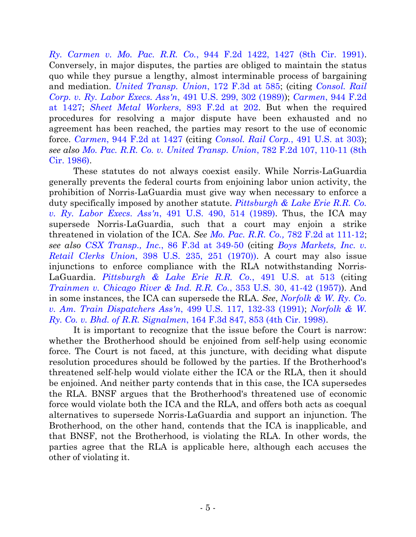*Ry. Carmen v. Mo. Pac. R.R. Co.*[, 944 F.2d 1422, 1427 \(8th Cir. 1991\).](http://westlaw.com/find/default.wl?ft=Y&referencepositiontype=S&rs=btil2.0&rp=%2ffind%2fdefault.wl&serialnum=1991161741&fn=_top&referenceposition=1427&findtype=Y&vr=2.0&db=0000350&wbtoolsId=1991161741&HistoryType=F) Conversely, in major disputes, the parties are obliged to maintain the status quo while they pursue a lengthy, almost interminable process of bargaining and mediation. *[United Transp. Union](http://westlaw.com/find/default.wl?ft=Y&db=0000506&rs=btil2.0&rp=%2ffind%2fdefault.wl&serialnum=1999091080&fn=_top&findtype=Y&vr=2.0&wbtoolsId=1999091080&HistoryType=F)*, 172 F.3d at 585; (citing *[Consol. Rail](http://westlaw.com/find/default.wl?ft=Y&referencepositiontype=S&rs=btil2.0&rp=%2ffind%2fdefault.wl&serialnum=1989090941&fn=_top&referenceposition=302&findtype=Y&vr=2.0&db=0000780&wbtoolsId=1989090941&HistoryType=F)  [Corp. v. Ry. Labor Execs. Ass'n](http://westlaw.com/find/default.wl?ft=Y&referencepositiontype=S&rs=btil2.0&rp=%2ffind%2fdefault.wl&serialnum=1989090941&fn=_top&referenceposition=302&findtype=Y&vr=2.0&db=0000780&wbtoolsId=1989090941&HistoryType=F)*, 491 U.S. 299, 302 (1989)); *Carmen*[, 944 F.2d](http://westlaw.com/find/default.wl?ft=Y&referencepositiontype=S&rs=btil2.0&rp=%2ffind%2fdefault.wl&serialnum=1991161741&fn=_top&referenceposition=1427&findtype=Y&vr=2.0&db=0000350&wbtoolsId=1991161741&HistoryType=F)  at [1427;](http://westlaw.com/find/default.wl?ft=Y&referencepositiontype=S&rs=btil2.0&rp=%2ffind%2fdefault.wl&serialnum=1991161741&fn=_top&referenceposition=1427&findtype=Y&vr=2.0&db=0000350&wbtoolsId=1991161741&HistoryType=F) *[Sheet Metal Workers](http://westlaw.com/find/default.wl?ft=Y&referencepositiontype=S&rs=btil2.0&rp=%2ffind%2fdefault.wl&serialnum=1990019533&fn=_top&referenceposition=202&findtype=Y&vr=2.0&db=0000350&wbtoolsId=1990019533&HistoryType=F)*, 893 F.2d at 202. But when the required procedures for resolving a major dispute have been exhausted and no agreement has been reached, the parties may resort to the use of economic force. *Carmen*[, 944 F.2d at 1427](http://westlaw.com/find/default.wl?ft=Y&db=0000350&rs=btil2.0&rp=%2ffind%2fdefault.wl&serialnum=1991161741&fn=_top&findtype=Y&vr=2.0&wbtoolsId=1991161741&HistoryType=F) (citing *[Consol. Rail Corp.](http://westlaw.com/find/default.wl?ft=Y&referencepositiontype=S&rs=btil2.0&rp=%2ffind%2fdefault.wl&serialnum=1989090941&fn=_top&referenceposition=302&findtype=Y&vr=2.0&db=0000780&wbtoolsId=1989090941&HistoryType=F)*, 491 U.S. at 303); *see also Mo. Pac. R.R. Co. [v. United Transp. Union](http://westlaw.com/find/default.wl?ft=Y&referencepositiontype=S&rs=btil2.0&rp=%2ffind%2fdefault.wl&serialnum=1986102272&fn=_top&referenceposition=11&findtype=Y&vr=2.0&db=0000350&wbtoolsId=1986102272&HistoryType=F)*, 782 F.2d 107, 110-11 (8th Cir. 1986).

These statutes do not always coexist easily. While Norris-LaGuardia generally prevents the federal courts from enjoining labor union activity, the prohibition of Norris-LaGuardia must give way when necessary to enforce a duty specifically imposed by another statute. *[Pittsburgh & Lake Erie R.R. Co.](http://westlaw.com/find/default.wl?ft=Y&referencepositiontype=S&rs=btil2.0&rp=%2ffind%2fdefault.wl&serialnum=1989092400&fn=_top&referenceposition=514&findtype=Y&vr=2.0&db=0000780&wbtoolsId=1989092400&HistoryType=F)  v. Ry. Labor Execs. Ass'n*[, 491 U.S. 490, 514 \(1989\).](http://westlaw.com/find/default.wl?ft=Y&referencepositiontype=S&rs=btil2.0&rp=%2ffind%2fdefault.wl&serialnum=1989092400&fn=_top&referenceposition=514&findtype=Y&vr=2.0&db=0000780&wbtoolsId=1989092400&HistoryType=F) Thus, the ICA may supersede Norris-LaGuardia, such that a court may enjoin a strike threatened in violation of the ICA. *See [Mo. Pac. R.R. Co.,](http://westlaw.com/find/default.wl?ft=Y&referencepositiontype=S&rs=btil2.0&rp=%2ffind%2fdefault.wl&serialnum=1986102272&fn=_top&referenceposition=111&findtype=Y&vr=2.0&db=0000350&wbtoolsId=1986102272&HistoryType=F)* 782 F.2d at 111-12; *see also CSX Transp., Inc.*[, 86 F.3d at 349-50](http://westlaw.com/find/default.wl?ft=Y&referencepositiontype=S&rs=btil2.0&rp=%2ffind%2fdefault.wl&serialnum=1996137224&fn=_top&referenceposition=348&findtype=Y&vr=2.0&db=0000506&wbtoolsId=1996137224&HistoryType=F) (citing *[Boys Markets, Inc. v.](http://westlaw.com/find/default.wl?ft=Y&referencepositiontype=S&rs=btil2.0&rp=%2ffind%2fdefault.wl&serialnum=1970134234&fn=_top&referenceposition=251&findtype=Y&vr=2.0&db=0000780&wbtoolsId=1970134234&HistoryType=F)  Retail Clerks Union*[, 398 U.S. 235, 251 \(1970\)\)](http://westlaw.com/find/default.wl?ft=Y&referencepositiontype=S&rs=btil2.0&rp=%2ffind%2fdefault.wl&serialnum=1970134234&fn=_top&referenceposition=251&findtype=Y&vr=2.0&db=0000780&wbtoolsId=1970134234&HistoryType=F). A court may also issue injunctions to enforce compliance with the RLA notwithstanding Norris-LaGuardia. *[Pittsburgh & Lake Erie R.R. Co.](http://westlaw.com/find/default.wl?ft=Y&referencepositiontype=S&rs=btil2.0&rp=%2ffind%2fdefault.wl&serialnum=1989092400&fn=_top&referenceposition=514&findtype=Y&vr=2.0&db=0000780&wbtoolsId=1989092400&HistoryType=F)*, 491 U.S. at 513 (citing *[Trainmen v. Chicago River & Ind. R.R. Co.](http://westlaw.com/find/default.wl?ft=Y&referencepositiontype=S&rs=btil2.0&rp=%2ffind%2fdefault.wl&serialnum=1957120344&fn=_top&referenceposition=41&findtype=Y&vr=2.0&db=0000780&wbtoolsId=1957120344&HistoryType=F)*, 353 U.S. 30, 41-42 (1957)). And in some instances, the ICA can supersede the RLA. *See*, *Norfolk & [W. Ry. Co.](http://westlaw.com/find/default.wl?ft=Y&referencepositiontype=S&rs=btil2.0&rp=%2ffind%2fdefault.wl&serialnum=1991055164&fn=_top&referenceposition=132&findtype=Y&vr=2.0&db=0000780&wbtoolsId=1991055164&HistoryType=F)  [v. Am. Train Dispatchers Ass'n](http://westlaw.com/find/default.wl?ft=Y&referencepositiontype=S&rs=btil2.0&rp=%2ffind%2fdefault.wl&serialnum=1991055164&fn=_top&referenceposition=132&findtype=Y&vr=2.0&db=0000780&wbtoolsId=1991055164&HistoryType=F)*, 499 U.S. 117, 132-33 (1991); *[Norfolk & W.](http://westlaw.com/find/default.wl?ft=Y&referencepositiontype=S&rs=btil2.0&rp=%2ffind%2fdefault.wl&serialnum=1998260712&fn=_top&referenceposition=853&findtype=Y&vr=2.0&db=0000506&wbtoolsId=1998260712&HistoryType=F)  Ry. Co. v. Bhd. of R.R. Signalmen*[, 164 F.3d 847, 853 \(4th Cir. 1998\).](http://westlaw.com/find/default.wl?ft=Y&referencepositiontype=S&rs=btil2.0&rp=%2ffind%2fdefault.wl&serialnum=1998260712&fn=_top&referenceposition=853&findtype=Y&vr=2.0&db=0000506&wbtoolsId=1998260712&HistoryType=F)

It is important to recognize that the issue before the Court is narrow: whether the Brotherhood should be enjoined from self-help using economic force. The Court is not faced, at this juncture, with deciding what dispute resolution procedures should be followed by the parties. If the Brotherhood's threatened self-help would violate either the ICA or the RLA, then it should be enjoined. And neither party contends that in this case, the ICA supersedes the RLA. BNSF argues that the Brotherhood's threatened use of economic force would violate both the ICA and the RLA, and offers both acts as coequal alternatives to supersede Norris-LaGuardia and support an injunction. The Brotherhood, on the other hand, contends that the ICA is inapplicable, and that BNSF, not the Brotherhood, is violating the RLA. In other words, the parties agree that the RLA is applicable here, although each accuses the other of violating it.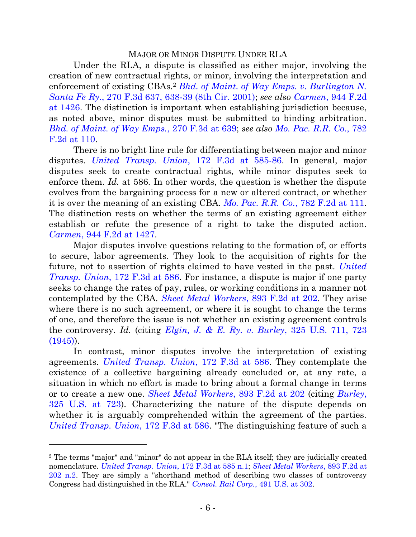# MAJOR OR MINOR DISPUTE UNDER RLA

Under the RLA, a dispute is classified as either major, involving the creation of new contractual rights, or minor, involving the interpretation and enforcement of existing CBAs.<sup>2</sup> *Bhd. of [Maint. of Way Emps. v. Burlington N.](http://westlaw.com/find/default.wl?ft=Y&referencepositiontype=S&rs=btil2.0&rp=%2ffind%2fdefault.wl&serialnum=2001898590&fn=_top&referenceposition=638&findtype=Y&vr=2.0&db=0000506&wbtoolsId=2001898590&HistoryType=F)  Santa Fe Ry.*[, 270 F.3d 637, 638-39 \(8th Cir. 2001\);](http://westlaw.com/find/default.wl?ft=Y&referencepositiontype=S&rs=btil2.0&rp=%2ffind%2fdefault.wl&serialnum=2001898590&fn=_top&referenceposition=638&findtype=Y&vr=2.0&db=0000506&wbtoolsId=2001898590&HistoryType=F) *see also Carmen*[, 944 F.2d](http://westlaw.com/find/default.wl?ft=Y&referencepositiontype=S&rs=btil2.0&rp=%2ffind%2fdefault.wl&serialnum=1991161741&fn=_top&referenceposition=1427&findtype=Y&vr=2.0&db=0000350&wbtoolsId=1991161741&HistoryType=F)  [at 1426.](http://westlaw.com/find/default.wl?ft=Y&referencepositiontype=S&rs=btil2.0&rp=%2ffind%2fdefault.wl&serialnum=1991161741&fn=_top&referenceposition=1427&findtype=Y&vr=2.0&db=0000350&wbtoolsId=1991161741&HistoryType=F) The distinction is important when establishing jurisdiction because, as noted above, minor disputes must be submitted to binding arbitration. *Bhd. of [Maint. of Way Emps.](http://westlaw.com/find/default.wl?ft=Y&referencepositiontype=S&rs=btil2.0&rp=%2ffind%2fdefault.wl&serialnum=2001898590&fn=_top&referenceposition=638&findtype=Y&vr=2.0&db=0000506&wbtoolsId=2001898590&HistoryType=F)*, 270 F.3d at 639; *see also [Mo. Pac. R.R. Co.](http://westlaw.com/find/default.wl?ft=Y&referencepositiontype=S&rs=btil2.0&rp=%2ffind%2fdefault.wl&serialnum=1986102272&fn=_top&referenceposition=11&findtype=Y&vr=2.0&db=0000350&wbtoolsId=1986102272&HistoryType=F)*, 782 [F.2d at 110.](http://westlaw.com/find/default.wl?ft=Y&referencepositiontype=S&rs=btil2.0&rp=%2ffind%2fdefault.wl&serialnum=1986102272&fn=_top&referenceposition=11&findtype=Y&vr=2.0&db=0000350&wbtoolsId=1986102272&HistoryType=F)

There is no bright line rule for differentiating between major and minor disputes. *[United Transp. Union](http://westlaw.com/find/default.wl?ft=Y&db=0000506&rs=btil2.0&rp=%2ffind%2fdefault.wl&serialnum=1999091080&fn=_top&findtype=Y&vr=2.0&wbtoolsId=1999091080&HistoryType=F)*, 172 F.3d at 585-86. In general, major disputes seek to create contractual rights, while minor disputes seek to enforce them. *Id.* at 586. In other words, the question is whether the dispute evolves from the bargaining process for a new or altered contract, or whether it is over the meaning of an existing CBA. *[Mo. Pac. R.R. Co.](http://westlaw.com/find/default.wl?ft=Y&referencepositiontype=S&rs=btil2.0&rp=%2ffind%2fdefault.wl&serialnum=1986102272&fn=_top&referenceposition=11&findtype=Y&vr=2.0&db=0000350&wbtoolsId=1986102272&HistoryType=F)*, 782 F.2d at 111. The distinction rests on whether the terms of an existing agreement either establish or refute the presence of a right to take the disputed action. *Carmen*[, 944 F.2d at 1427.](http://westlaw.com/find/default.wl?ft=Y&referencepositiontype=S&rs=btil2.0&rp=%2ffind%2fdefault.wl&serialnum=1991161741&fn=_top&referenceposition=1427&findtype=Y&vr=2.0&db=0000350&wbtoolsId=1991161741&HistoryType=F)

Major disputes involve questions relating to the formation of, or efforts to secure, labor agreements. They look to the acquisition of rights for the future, not to assertion of rights claimed to have vested in the past. *[United](http://westlaw.com/find/default.wl?ft=Y&db=0000506&rs=btil2.0&rp=%2ffind%2fdefault.wl&serialnum=1999091080&fn=_top&findtype=Y&vr=2.0&wbtoolsId=1999091080&HistoryType=F)  Transp. Union*[, 172 F.3d at 586.](http://westlaw.com/find/default.wl?ft=Y&db=0000506&rs=btil2.0&rp=%2ffind%2fdefault.wl&serialnum=1999091080&fn=_top&findtype=Y&vr=2.0&wbtoolsId=1999091080&HistoryType=F) For instance, a dispute is major if one party seeks to change the rates of pay, rules, or working conditions in a manner not contemplated by the CBA. *[Sheet Metal Workers](http://westlaw.com/find/default.wl?ft=Y&referencepositiontype=S&rs=btil2.0&rp=%2ffind%2fdefault.wl&serialnum=1990019533&fn=_top&referenceposition=202&findtype=Y&vr=2.0&db=0000350&wbtoolsId=1990019533&HistoryType=F)*, 893 F.2d at 202. They arise where there is no such agreement, or where it is sought to change the terms of one, and therefore the issue is not whether an existing agreement controls the controversy. *Id.* (citing *[Elgin, J. & E. Ry. v. Burley](http://westlaw.com/find/default.wl?ft=Y&referencepositiontype=S&rs=btil2.0&rp=%2ffind%2fdefault.wl&serialnum=1945117434&fn=_top&referenceposition=723&findtype=Y&vr=2.0&db=0000780&wbtoolsId=1945117434&HistoryType=F)*, 325 U.S. 711, 723  $(1945)$ .

In contrast, minor disputes involve the interpretation of existing agreements. *[United Transp. Union](http://westlaw.com/find/default.wl?ft=Y&db=0000506&rs=btil2.0&rp=%2ffind%2fdefault.wl&serialnum=1999091080&fn=_top&findtype=Y&vr=2.0&wbtoolsId=1999091080&HistoryType=F)*, 172 F.3d at 586. They contemplate the existence of a collective bargaining already concluded or, at any rate, a situation in which no effort is made to bring about a formal change in terms or to create a new one. *[Sheet Metal Workers](http://westlaw.com/find/default.wl?ft=Y&referencepositiontype=S&rs=btil2.0&rp=%2ffind%2fdefault.wl&serialnum=1990019533&fn=_top&referenceposition=202&findtype=Y&vr=2.0&db=0000350&wbtoolsId=1990019533&HistoryType=F)*, 893 F.2d at 202 (citing *[Burley](http://westlaw.com/find/default.wl?ft=Y&referencepositiontype=S&rs=btil2.0&rp=%2ffind%2fdefault.wl&serialnum=1945117434&fn=_top&referenceposition=723&findtype=Y&vr=2.0&db=0000780&wbtoolsId=1945117434&HistoryType=F)*, [325 U.S. at 723\)](http://westlaw.com/find/default.wl?ft=Y&referencepositiontype=S&rs=btil2.0&rp=%2ffind%2fdefault.wl&serialnum=1945117434&fn=_top&referenceposition=723&findtype=Y&vr=2.0&db=0000780&wbtoolsId=1945117434&HistoryType=F). Characterizing the nature of the dispute depends on whether it is arguably comprehended within the agreement of the parties. *[United Transp. Union](http://westlaw.com/find/default.wl?ft=Y&db=0000506&rs=btil2.0&rp=%2ffind%2fdefault.wl&serialnum=1999091080&fn=_top&findtype=Y&vr=2.0&wbtoolsId=1999091080&HistoryType=F)*, 172 F.3d at 586. "The distinguishing feature of such a

<sup>2</sup> The terms "major" and "minor" do not appear in the RLA itself; they are judicially created nomenclature. *[United Transp. Union](http://westlaw.com/find/default.wl?ft=Y&db=0000506&rs=btil2.0&rp=%2ffind%2fdefault.wl&serialnum=1999091080&fn=_top&findtype=Y&vr=2.0&wbtoolsId=1999091080&HistoryType=F)*, 172 F.3d at 585 n.1; *[Sheet Metal Workers](http://westlaw.com/find/default.wl?ft=Y&referencepositiontype=S&rs=btil2.0&rp=%2ffind%2fdefault.wl&serialnum=1990019533&fn=_top&referenceposition=202&findtype=Y&vr=2.0&db=0000350&wbtoolsId=1990019533&HistoryType=F)*, 893 F.2d at [202 n.2.](http://westlaw.com/find/default.wl?ft=Y&referencepositiontype=S&rs=btil2.0&rp=%2ffind%2fdefault.wl&serialnum=1990019533&fn=_top&referenceposition=202&findtype=Y&vr=2.0&db=0000350&wbtoolsId=1990019533&HistoryType=F) They are simply a "shorthand method of describing two classes of controversy Congress had distinguished in the RLA." *[Consol. Rail Corp.](http://westlaw.com/find/default.wl?ft=Y&referencepositiontype=S&rs=btil2.0&rp=%2ffind%2fdefault.wl&serialnum=1989090941&fn=_top&referenceposition=302&findtype=Y&vr=2.0&db=0000780&wbtoolsId=1989090941&HistoryType=F)*, 491 U.S. at 302.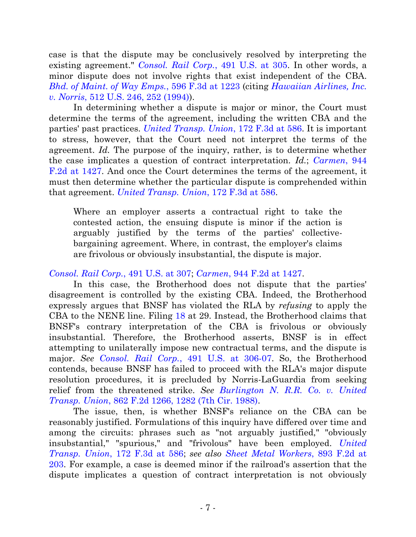case is that the dispute may be conclusively resolved by interpreting the existing agreement." *[Consol. Rail Corp.](http://westlaw.com/find/default.wl?ft=Y&referencepositiontype=S&rs=btil2.0&rp=%2ffind%2fdefault.wl&serialnum=1989090941&fn=_top&referenceposition=302&findtype=Y&vr=2.0&db=0000780&wbtoolsId=1989090941&HistoryType=F)*, 491 U.S. at 305. In other words, a minor dispute does not involve rights that exist independent of the CBA. *Bhd. of [Maint. of Way Emps.](http://westlaw.com/find/default.wl?ft=Y&referencepositiontype=S&rs=btil2.0&rp=%2ffind%2fdefault.wl&serialnum=2021455687&fn=_top&referenceposition=1220&findtype=Y&vr=2.0&db=0000506&wbtoolsId=2021455687&HistoryType=F)*, 596 F.3d at 1223 (citing *Hawaiian [Airlines, Inc.](http://westlaw.com/find/default.wl?ft=Y&referencepositiontype=S&rs=btil2.0&rp=%2ffind%2fdefault.wl&serialnum=1994131910&fn=_top&referenceposition=252&findtype=Y&vr=2.0&db=0000780&wbtoolsId=1994131910&HistoryType=F)  v. Norris*[, 512 U.S. 246, 252 \(1994\)\)](http://westlaw.com/find/default.wl?ft=Y&referencepositiontype=S&rs=btil2.0&rp=%2ffind%2fdefault.wl&serialnum=1994131910&fn=_top&referenceposition=252&findtype=Y&vr=2.0&db=0000780&wbtoolsId=1994131910&HistoryType=F).

In determining whether a dispute is major or minor, the Court must determine the terms of the agreement, including the written CBA and the parties' past practices. *[United Transp. Union](http://westlaw.com/find/default.wl?ft=Y&db=0000506&rs=btil2.0&rp=%2ffind%2fdefault.wl&serialnum=1999091080&fn=_top&findtype=Y&vr=2.0&wbtoolsId=1999091080&HistoryType=F)*, 172 F.3d at 586. It is important to stress, however, that the Court need not interpret the terms of the agreement. *Id.* The purpose of the inquiry, rather, is to determine whether the case implicates a question of contract interpretation. *Id.*; *[Carmen](http://westlaw.com/find/default.wl?ft=Y&referencepositiontype=S&rs=btil2.0&rp=%2ffind%2fdefault.wl&serialnum=1991161741&fn=_top&referenceposition=1427&findtype=Y&vr=2.0&db=0000350&wbtoolsId=1991161741&HistoryType=F)*, 944 [F.2d at 1427.](http://westlaw.com/find/default.wl?ft=Y&referencepositiontype=S&rs=btil2.0&rp=%2ffind%2fdefault.wl&serialnum=1991161741&fn=_top&referenceposition=1427&findtype=Y&vr=2.0&db=0000350&wbtoolsId=1991161741&HistoryType=F) And once the Court determines the terms of the agreement, it must then determine whether the particular dispute is comprehended within that agreement. *[United Transp. Union](http://westlaw.com/find/default.wl?ft=Y&db=0000506&rs=btil2.0&rp=%2ffind%2fdefault.wl&serialnum=1999091080&fn=_top&findtype=Y&vr=2.0&wbtoolsId=1999091080&HistoryType=F)*, 172 F.3d at 586.

Where an employer asserts a contractual right to take the contested action, the ensuing dispute is minor if the action is arguably justified by the terms of the parties' collectivebargaining agreement. Where, in contrast, the employer's claims are frivolous or obviously insubstantial, the dispute is major.

# *[Consol. Rail Corp.](http://westlaw.com/find/default.wl?ft=Y&referencepositiontype=S&rs=btil2.0&rp=%2ffind%2fdefault.wl&serialnum=1989090941&fn=_top&referenceposition=302&findtype=Y&vr=2.0&db=0000780&wbtoolsId=1989090941&HistoryType=F)*, 491 U.S. at 307; *Carmen*[, 944 F.2d at 1427.](http://westlaw.com/find/default.wl?ft=Y&referencepositiontype=S&rs=btil2.0&rp=%2ffind%2fdefault.wl&serialnum=1991161741&fn=_top&referenceposition=1427&findtype=Y&vr=2.0&db=0000350&wbtoolsId=1991161741&HistoryType=F)

In this case, the Brotherhood does not dispute that the parties' disagreement is controlled by the existing CBA. Indeed, the Brotherhood expressly argues that BNSF has violated the RLA by *refusing* to apply the CBA to the NENE line. Filing [18](https://ecf.ned.uscourts.gov/doc1/11312866807) at 29. Instead, the Brotherhood claims that BNSF's contrary interpretation of the CBA is frivolous or obviously insubstantial. Therefore, the Brotherhood asserts, BNSF is in effect attempting to unilaterally impose new contractual terms, and the dispute is major. *See Consol. Rail Corp.*[, 491 U.S. at 306-07.](http://westlaw.com/find/default.wl?ft=Y&referencepositiontype=S&rs=btil2.0&rp=%2ffind%2fdefault.wl&serialnum=1989090941&fn=_top&referenceposition=302&findtype=Y&vr=2.0&db=0000780&wbtoolsId=1989090941&HistoryType=F) So, the Brotherhood contends, because BNSF has failed to proceed with the RLA's major dispute resolution procedures, it is precluded by Norris-LaGuardia from seeking relief from the threatened strike. *See [Burlington N. R.R. Co. v. United](http://westlaw.com/find/default.wl?ft=Y&referencepositiontype=S&rs=btil2.0&rp=%2ffind%2fdefault.wl&serialnum=1988158563&fn=_top&referenceposition=1282&findtype=Y&vr=2.0&db=0000350&wbtoolsId=1988158563&HistoryType=F)  Transp. Union*[, 862 F.2d 1266, 1282 \(7th Cir. 1988\).](http://westlaw.com/find/default.wl?ft=Y&referencepositiontype=S&rs=btil2.0&rp=%2ffind%2fdefault.wl&serialnum=1988158563&fn=_top&referenceposition=1282&findtype=Y&vr=2.0&db=0000350&wbtoolsId=1988158563&HistoryType=F)

The issue, then, is whether BNSF's reliance on the CBA can be reasonably justified. Formulations of this inquiry have differed over time and among the circuits: phrases such as "not arguably justified," "obviously insubstantial," "spurious," and "frivolous" have been employed. *[United](http://westlaw.com/find/default.wl?ft=Y&db=0000506&rs=btil2.0&rp=%2ffind%2fdefault.wl&serialnum=1999091080&fn=_top&findtype=Y&vr=2.0&wbtoolsId=1999091080&HistoryType=F)  Transp. Union*[, 172 F.3d at 586;](http://westlaw.com/find/default.wl?ft=Y&db=0000506&rs=btil2.0&rp=%2ffind%2fdefault.wl&serialnum=1999091080&fn=_top&findtype=Y&vr=2.0&wbtoolsId=1999091080&HistoryType=F) *see also [Sheet Metal Workers](http://westlaw.com/find/default.wl?ft=Y&referencepositiontype=S&rs=btil2.0&rp=%2ffind%2fdefault.wl&serialnum=1990019533&fn=_top&referenceposition=202&findtype=Y&vr=2.0&db=0000350&wbtoolsId=1990019533&HistoryType=F)*, 893 F.2d at [203.](http://westlaw.com/find/default.wl?ft=Y&referencepositiontype=S&rs=btil2.0&rp=%2ffind%2fdefault.wl&serialnum=1990019533&fn=_top&referenceposition=202&findtype=Y&vr=2.0&db=0000350&wbtoolsId=1990019533&HistoryType=F) For example, a case is deemed minor if the railroad's assertion that the dispute implicates a question of contract interpretation is not obviously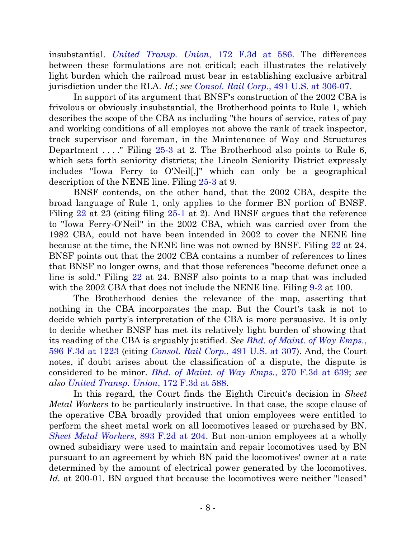insubstantial. *[United Transp. Union](http://westlaw.com/find/default.wl?ft=Y&db=0000506&rs=btil2.0&rp=%2ffind%2fdefault.wl&serialnum=1999091080&fn=_top&findtype=Y&vr=2.0&wbtoolsId=1999091080&HistoryType=F)*, 172 F.3d at 586. The differences between these formulations are not critical; each illustrates the relatively light burden which the railroad must bear in establishing exclusive arbitral jurisdiction under the RLA. *Id.*; *see Consol. Rail Corp.*[, 491 U.S. at 306-07.](http://westlaw.com/find/default.wl?ft=Y&referencepositiontype=S&rs=btil2.0&rp=%2ffind%2fdefault.wl&serialnum=1989090941&fn=_top&referenceposition=302&findtype=Y&vr=2.0&db=0000780&wbtoolsId=1989090941&HistoryType=F)

In support of its argument that BNSF's construction of the 2002 CBA is frivolous or obviously insubstantial, the Brotherhood points to Rule 1, which describes the scope of the CBA as including "the hours of service, rates of pay and working conditions of all employes not above the rank of track inspector, track supervisor and foreman, in the Maintenance of Way and Structures Department ...." Filing [25-3](https://ecf.ned.uscourts.gov/doc1/11312871996) at 2. The Brotherhood also points to Rule 6, which sets forth seniority districts; the Lincoln Seniority District expressly includes "Iowa Ferry to O'Neil[,]" which can only be a geographical description of the NENE line. Filing [25-3](https://ecf.ned.uscourts.gov/doc1/11312871996) at 9.

BNSF contends, on the other hand, that the 2002 CBA, despite the broad language of Rule 1, only applies to the former BN portion of BNSF. Filing [22](https://ecf.ned.uscourts.gov/doc1/11312869449) at 23 (citing filing [25-1](https://ecf.ned.uscourts.gov/doc1/11312871994) at 2). And BNSF argues that the reference to "Iowa Ferry-O'Neil" in the 2002 CBA, which was carried over from the 1982 CBA, could not have been intended in 2002 to cover the NENE line because at the time, the NENE line was not owned by BNSF. Filing [22](https://ecf.ned.uscourts.gov/doc1/11312869449) at 24. BNSF points out that the 2002 CBA contains a number of references to lines that BNSF no longer owns, and that those references "become defunct once a line is sold." Filing [22](https://ecf.ned.uscourts.gov/doc1/11312869449) at 24. BNSF also points to a map that was included with the 2002 CBA that does not include the NENE line. Filing [9-2](https://ecf.ned.uscourts.gov/doc1/11312860620) at 100.

The Brotherhood denies the relevance of the map, asserting that nothing in the CBA incorporates the map. But the Court's task is not to decide which party's interpretation of the CBA is more persuasive. It is only to decide whether BNSF has met its relatively light burden of showing that its reading of the CBA is arguably justified. *See Bhd. of [Maint. of Way Emps.](http://westlaw.com/find/default.wl?ft=Y&referencepositiontype=S&rs=btil2.0&rp=%2ffind%2fdefault.wl&serialnum=2021455687&fn=_top&referenceposition=1220&findtype=Y&vr=2.0&db=0000506&wbtoolsId=2021455687&HistoryType=F)*, [596 F.3d at 1223](http://westlaw.com/find/default.wl?ft=Y&referencepositiontype=S&rs=btil2.0&rp=%2ffind%2fdefault.wl&serialnum=2021455687&fn=_top&referenceposition=1220&findtype=Y&vr=2.0&db=0000506&wbtoolsId=2021455687&HistoryType=F) (citing *[Consol. Rail Corp.](http://westlaw.com/find/default.wl?ft=Y&referencepositiontype=S&rs=btil2.0&rp=%2ffind%2fdefault.wl&serialnum=1989090941&fn=_top&referenceposition=302&findtype=Y&vr=2.0&db=0000780&wbtoolsId=1989090941&HistoryType=F)*, 491 U.S. at 307). And, the Court notes, if doubt arises about the classification of a dispute, the dispute is considered to be minor. *Bhd. of [Maint. of Way Emps.](http://westlaw.com/find/default.wl?ft=Y&referencepositiontype=S&rs=btil2.0&rp=%2ffind%2fdefault.wl&serialnum=2001898590&fn=_top&referenceposition=638&findtype=Y&vr=2.0&db=0000506&wbtoolsId=2001898590&HistoryType=F)*, 270 F.3d at 639; *see also [United Transp. Union](http://westlaw.com/find/default.wl?ft=Y&db=0000506&rs=btil2.0&rp=%2ffind%2fdefault.wl&serialnum=1999091080&fn=_top&findtype=Y&vr=2.0&wbtoolsId=1999091080&HistoryType=F)*, 172 F.3d at 588.

In this regard, the Court finds the Eighth Circuit's decision in *Sheet Metal Workers* to be particularly instructive. In that case, the scope clause of the operative CBA broadly provided that union employees were entitled to perform the sheet metal work on all locomotives leased or purchased by BN. *[Sheet Metal Workers](http://westlaw.com/find/default.wl?ft=Y&referencepositiontype=S&rs=btil2.0&rp=%2ffind%2fdefault.wl&serialnum=1990019533&fn=_top&referenceposition=202&findtype=Y&vr=2.0&db=0000350&wbtoolsId=1990019533&HistoryType=F)*, 893 F.2d at 204. But non-union employees at a wholly owned subsidiary were used to maintain and repair locomotives used by BN pursuant to an agreement by which BN paid the locomotives' owner at a rate determined by the amount of electrical power generated by the locomotives. *Id.* at 200-01. BN argued that because the locomotives were neither "leased"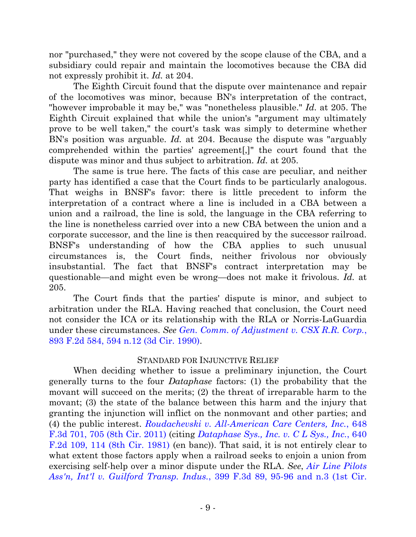nor "purchased," they were not covered by the scope clause of the CBA, and a subsidiary could repair and maintain the locomotives because the CBA did not expressly prohibit it. *Id.* at 204.

The Eighth Circuit found that the dispute over maintenance and repair of the locomotives was minor, because BN's interpretation of the contract, "however improbable it may be," was "nonetheless plausible." *Id.* at 205. The Eighth Circuit explained that while the union's "argument may ultimately prove to be well taken," the court's task was simply to determine whether BN's position was arguable. *Id.* at 204. Because the dispute was "arguably comprehended within the parties' agreement[,]" the court found that the dispute was minor and thus subject to arbitration. *Id.* at 205.

The same is true here. The facts of this case are peculiar, and neither party has identified a case that the Court finds to be particularly analogous. That weighs in BNSF's favor: there is little precedent to inform the interpretation of a contract where a line is included in a CBA between a union and a railroad, the line is sold, the language in the CBA referring to the line is nonetheless carried over into a new CBA between the union and a corporate successor, and the line is then reacquired by the successor railroad. BNSF's understanding of how the CBA applies to such unusual circumstances is, the Court finds, neither frivolous nor obviously insubstantial. The fact that BNSF's contract interpretation may be questionable—and might even be wrong—does not make it frivolous. *Id.* at 205.

The Court finds that the parties' dispute is minor, and subject to arbitration under the RLA. Having reached that conclusion, the Court need not consider the ICA or its relationship with the RLA or Norris-LaGuardia under these circumstances. *See [Gen. Comm. of Adjustment v. CSX R.R. Corp.](http://westlaw.com/find/default.wl?ft=Y&referencepositiontype=S&rs=btil2.0&rp=%2ffind%2fdefault.wl&serialnum=1990017162&fn=_top&referenceposition=594&findtype=Y&vr=2.0&db=0000350&wbtoolsId=1990017162&HistoryType=F)*, 893 F.2d 584, [594 n.12 \(3d Cir. 1990\).](http://westlaw.com/find/default.wl?ft=Y&referencepositiontype=S&rs=btil2.0&rp=%2ffind%2fdefault.wl&serialnum=1990017162&fn=_top&referenceposition=594&findtype=Y&vr=2.0&db=0000350&wbtoolsId=1990017162&HistoryType=F)

# STANDARD FOR INJUNCTIVE RELIEF

When deciding whether to issue a preliminary injunction, the Court generally turns to the four *Dataphase* factors: (1) the probability that the movant will succeed on the merits; (2) the threat of irreparable harm to the movant; (3) the state of the balance between this harm and the injury that granting the injunction will inflict on the nonmovant and other parties; and (4) the public interest. *[Roudachevski v. All-American Care Centers, Inc.](http://westlaw.com/find/default.wl?ft=Y&referencepositiontype=S&rs=btil2.0&rp=%2ffind%2fdefault.wl&serialnum=2025831210&fn=_top&referenceposition=705&findtype=Y&vr=2.0&db=0000506&wbtoolsId=2025831210&HistoryType=F)*, 648 [F.3d 701, 705 \(8th Cir. 2011\)](http://westlaw.com/find/default.wl?ft=Y&referencepositiontype=S&rs=btil2.0&rp=%2ffind%2fdefault.wl&serialnum=2025831210&fn=_top&referenceposition=705&findtype=Y&vr=2.0&db=0000506&wbtoolsId=2025831210&HistoryType=F) (citing *[Dataphase Sys., Inc. v. C L Sys., Inc.](http://westlaw.com/find/default.wl?ft=Y&referencepositiontype=S&rs=btil2.0&rp=%2ffind%2fdefault.wl&serialnum=1981101068&fn=_top&referenceposition=114&findtype=Y&vr=2.0&wbtoolsId=1981101068&HistoryType=F)*, 640 [F.2d 109, 114 \(8th Cir. 1981\)](http://westlaw.com/find/default.wl?ft=Y&referencepositiontype=S&rs=btil2.0&rp=%2ffind%2fdefault.wl&serialnum=1981101068&fn=_top&referenceposition=114&findtype=Y&vr=2.0&wbtoolsId=1981101068&HistoryType=F) (en banc)). That said, it is not entirely clear to what extent those factors apply when a railroad seeks to enjoin a union from exercising self-help over a minor dispute under the RLA. *See*, *[Air Line Pilots](http://westlaw.com/find/default.wl?ft=Y&referencepositiontype=S&rs=btil2.0&rp=%2ffind%2fdefault.wl&serialnum=2006290633&fn=_top&referenceposition=95&findtype=Y&vr=2.0&db=0000506&wbtoolsId=2006290633&HistoryType=F)  Ass'n, Int'l v. Guilford Transp. Indus.*[, 399 F.3d 89, 95-96 and n.3 \(1st Cir.](http://westlaw.com/find/default.wl?ft=Y&referencepositiontype=S&rs=btil2.0&rp=%2ffind%2fdefault.wl&serialnum=2006290633&fn=_top&referenceposition=95&findtype=Y&vr=2.0&db=0000506&wbtoolsId=2006290633&HistoryType=F)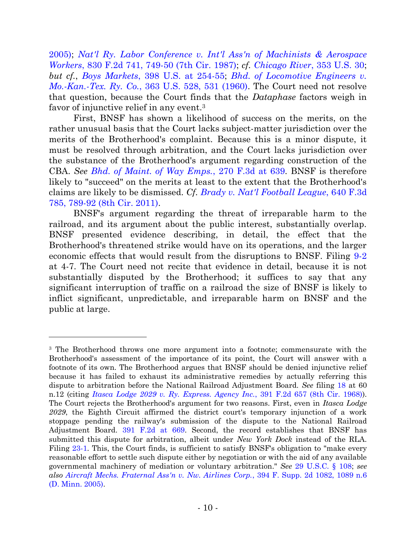[2005\);](http://westlaw.com/find/default.wl?ft=Y&referencepositiontype=S&rs=btil2.0&rp=%2ffind%2fdefault.wl&serialnum=2006290633&fn=_top&referenceposition=95&findtype=Y&vr=2.0&db=0000506&wbtoolsId=2006290633&HistoryType=F) *[Nat'l Ry. Labor Conference v. Int'l Ass'n of Machinists & Aerospace](http://westlaw.com/find/default.wl?ft=Y&referencepositiontype=S&rs=btil2.0&rp=%2ffind%2fdefault.wl&serialnum=1987121858&fn=_top&referenceposition=749&findtype=Y&vr=2.0&db=0000350&wbtoolsId=1987121858&HistoryType=F)  Workers*[, 830 F.2d 741, 749-50 \(7th Cir. 1987\);](http://westlaw.com/find/default.wl?ft=Y&referencepositiontype=S&rs=btil2.0&rp=%2ffind%2fdefault.wl&serialnum=1987121858&fn=_top&referenceposition=749&findtype=Y&vr=2.0&db=0000350&wbtoolsId=1987121858&HistoryType=F) *cf. [Chicago River](http://westlaw.com/find/default.wl?ft=Y&referencepositiontype=S&rs=btil2.0&rp=%2ffind%2fdefault.wl&serialnum=1957120344&fn=_top&referenceposition=41&findtype=Y&vr=2.0&db=0000780&wbtoolsId=1957120344&HistoryType=F)*, 353 U.S. 30; *but cf.*, *Boys Markets*[, 398 U.S. at 254-55;](http://westlaw.com/find/default.wl?ft=Y&referencepositiontype=S&rs=btil2.0&rp=%2ffind%2fdefault.wl&serialnum=1970134234&fn=_top&referenceposition=251&findtype=Y&vr=2.0&db=0000780&wbtoolsId=1970134234&HistoryType=F) *[Bhd. of Locomotive Engineers v.](http://westlaw.com/find/default.wl?ft=Y&referencepositiontype=S&rs=btil2.0&rp=%2ffind%2fdefault.wl&serialnum=1960122542&fn=_top&referenceposition=531&findtype=Y&vr=2.0&db=0000780&wbtoolsId=1960122542&HistoryType=F)  Mo.-Kan.-Tex. Ry. Co.*[, 363 U.S. 528, 531 \(1960\).](http://westlaw.com/find/default.wl?ft=Y&referencepositiontype=S&rs=btil2.0&rp=%2ffind%2fdefault.wl&serialnum=1960122542&fn=_top&referenceposition=531&findtype=Y&vr=2.0&db=0000780&wbtoolsId=1960122542&HistoryType=F) The Court need not resolve that question, because the Court finds that the *Dataphase* factors weigh in favor of injunctive relief in any event.<sup>3</sup>

First, BNSF has shown a likelihood of success on the merits, on the rather unusual basis that the Court lacks subject-matter jurisdiction over the merits of the Brotherhood's complaint. Because this is a minor dispute, it must be resolved through arbitration, and the Court lacks jurisdiction over the substance of the Brotherhood's argument regarding construction of the CBA. *See [Bhd. of Maint. of Way Emps.](http://westlaw.com/find/default.wl?ft=Y&referencepositiontype=S&rs=btil2.0&rp=%2ffind%2fdefault.wl&serialnum=2001898590&fn=_top&referenceposition=638&findtype=Y&vr=2.0&db=0000506&wbtoolsId=2001898590&HistoryType=F)*, 270 F.3d at 639. BNSF is therefore likely to "succeed" on the merits at least to the extent that the Brotherhood's claims are likely to be dismissed. *Cf. [Brady v. Nat'l Football League](http://westlaw.com/find/default.wl?ft=Y&referencepositiontype=S&rs=btil2.0&rp=%2ffind%2fdefault.wl&serialnum=2025295159&fn=_top&referenceposition=789&findtype=Y&vr=2.0&db=0000506&wbtoolsId=2025295159&HistoryType=F)*, 640 F.3d [785, 789-92 \(8th Cir. 2011\).](http://westlaw.com/find/default.wl?ft=Y&referencepositiontype=S&rs=btil2.0&rp=%2ffind%2fdefault.wl&serialnum=2025295159&fn=_top&referenceposition=789&findtype=Y&vr=2.0&db=0000506&wbtoolsId=2025295159&HistoryType=F)

BNSF's argument regarding the threat of irreparable harm to the railroad, and its argument about the public interest, substantially overlap. BNSF presented evidence describing, in detail, the effect that the Brotherhood's threatened strike would have on its operations, and the larger economic effects that would result from the disruptions to BNSF. Filing [9-2](https://ecf.ned.uscourts.gov/doc1/11312860620) at 4-7. The Court need not recite that evidence in detail, because it is not substantially disputed by the Brotherhood; it suffices to say that any significant interruption of traffic on a railroad the size of BNSF is likely to inflict significant, unpredictable, and irreparable harm on BNSF and the public at large.

<sup>&</sup>lt;sup>3</sup> The Brotherhood throws one more argument into a footnote; commensurate with the Brotherhood's assessment of the importance of its point, the Court will answer with a footnote of its own. The Brotherhood argues that BNSF should be denied injunctive relief because it has failed to exhaust its administrative remedies by actually referring this dispute to arbitration before the National Railroad Adjustment Board. *See* filing [18](https://ecf.ned.uscourts.gov/doc1/11312866807) at 60 n.12 (citing *[Itasca Lodge 2029 v. Ry. Express. Agency Inc.](http://westlaw.com/find/default.wl?ft=Y&db=0000350&rs=btil2.0&rp=%2ffind%2fdefault.wl&serialnum=1968116873&fn=_top&findtype=Y&vr=2.0&wbtoolsId=1968116873&HistoryType=F)*, 391 F.2d 657 (8th Cir. 1968)). The Court rejects the Brotherhood's argument for two reasons. First, even in *Itasca Lodge 2029*, the Eighth Circuit affirmed the district court's temporary injunction of a work stoppage pending the railway's submission of the dispute to the National Railroad Adjustment Board. [391 F.2d at 669.](http://westlaw.com/find/default.wl?ft=Y&db=0000350&rs=btil2.0&rp=%2ffind%2fdefault.wl&serialnum=1968116873&fn=_top&findtype=Y&vr=2.0&wbtoolsId=1968116873&HistoryType=F) Second, the record establishes that BNSF has submitted this dispute for arbitration, albeit under *New York Dock* instead of the RLA. Filing [23-1.](https://ecf.ned.uscourts.gov/doc1/11312869453) This, the Court finds, is sufficient to satisfy BNSF's obligation to "make every reasonable effort to settle such dispute either by negotiation or with the aid of any available governmental machinery of mediation or voluntary arbitration." *See* [29 U.S.C. § 108;](http://westlaw.com/find/default.wl?ft=L&docname=29USCAS108&rs=btil2.0&rp=%2ffind%2fdefault.wl&fn=_top&findtype=L&vr=2.0&db=1000546&wbtoolsId=29USCAS108&HistoryType=F) *see also [Aircraft Mechs. Fraternal Ass'n v. Nw. Airlines Corp.](http://westlaw.com/find/default.wl?ft=Y&referencepositiontype=S&rs=btil2.0&rp=%2ffind%2fdefault.wl&serialnum=2006230876&fn=_top&referenceposition=1089&findtype=Y&vr=2.0&db=0004637&wbtoolsId=2006230876&HistoryType=F)*, 394 F. Supp. 2d 1082, 1089 n.6 (D. Minn. 2005).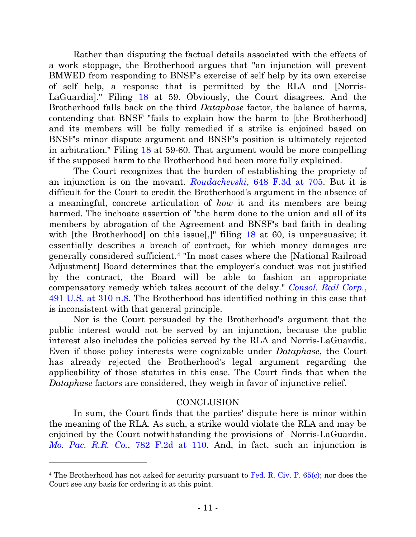Rather than disputing the factual details associated with the effects of a work stoppage, the Brotherhood argues that "an injunction will prevent BMWED from responding to BNSF's exercise of self help by its own exercise of self help, a response that is permitted by the RLA and [Norris-LaGuardia]." Filing [18](https://ecf.ned.uscourts.gov/doc1/11312866807) at 59. Obviously, the Court disagrees. And the Brotherhood falls back on the third *Dataphase* factor, the balance of harms, contending that BNSF "fails to explain how the harm to [the Brotherhood] and its members will be fully remedied if a strike is enjoined based on BNSF's minor dispute argument and BNSF's position is ultimately rejected in arbitration." Filing [18](https://ecf.ned.uscourts.gov/doc1/11312866807) at 59-60. That argument would be more compelling if the supposed harm to the Brotherhood had been more fully explained.

The Court recognizes that the burden of establishing the propriety of an injunction is on the movant. *Roudachevski*[, 648 F.3d at 705.](http://westlaw.com/find/default.wl?ft=Y&referencepositiontype=S&rs=btil2.0&rp=%2ffind%2fdefault.wl&serialnum=2025831210&fn=_top&referenceposition=705&findtype=Y&vr=2.0&db=0000506&wbtoolsId=2025831210&HistoryType=F) But it is difficult for the Court to credit the Brotherhood's argument in the absence of a meaningful, concrete articulation of *how* it and its members are being harmed. The inchoate assertion of "the harm done to the union and all of its members by abrogation of the Agreement and BNSF's bad faith in dealing with [the Brotherhood] on this issue.]" filing [18](https://ecf.ned.uscourts.gov/doc1/11312866807) at 60, is unpersuasive; it essentially describes a breach of contract, for which money damages are generally considered sufficient.<sup>4</sup> "In most cases where the [National Railroad Adjustment] Board determines that the employer's conduct was not justified by the contract, the Board will be able to fashion an appropriate compensatory remedy which takes account of the delay." *[Consol. Rail Corp.](http://westlaw.com/find/default.wl?ft=Y&referencepositiontype=S&rs=btil2.0&rp=%2ffind%2fdefault.wl&serialnum=1989090941&fn=_top&referenceposition=302&findtype=Y&vr=2.0&db=0000780&wbtoolsId=1989090941&HistoryType=F)*, [491 U.S. at 310 n.8.](http://westlaw.com/find/default.wl?ft=Y&referencepositiontype=S&rs=btil2.0&rp=%2ffind%2fdefault.wl&serialnum=1989090941&fn=_top&referenceposition=302&findtype=Y&vr=2.0&db=0000780&wbtoolsId=1989090941&HistoryType=F) The Brotherhood has identified nothing in this case that is inconsistent with that general principle.

Nor is the Court persuaded by the Brotherhood's argument that the public interest would not be served by an injunction, because the public interest also includes the policies served by the RLA and Norris-LaGuardia. Even if those policy interests were cognizable under *Dataphase*, the Court has already rejected the Brotherhood's legal argument regarding the applicability of those statutes in this case. The Court finds that when the *Dataphase* factors are considered, they weigh in favor of injunctive relief.

# **CONCLUSION**

In sum, the Court finds that the parties' dispute here is minor within the meaning of the RLA. As such, a strike would violate the RLA and may be enjoined by the Court notwithstanding the provisions of [Norris-LaGuardia.](http://westlaw.com/find/default.wl?ft=Y&referencepositiontype=S&rs=btil2.0&rp=%2ffind%2fdefault.wl&serialnum=1986102272&fn=_top&referenceposition=11&findtype=Y&vr=2.0&db=0000350&wbtoolsId=1986102272&HistoryType=F) *Mo. Pac. R.R. Co.*[, 782 F.2d at 110.](http://westlaw.com/find/default.wl?ft=Y&referencepositiontype=S&rs=btil2.0&rp=%2ffind%2fdefault.wl&serialnum=1986102272&fn=_top&referenceposition=11&findtype=Y&vr=2.0&db=0000350&wbtoolsId=1986102272&HistoryType=F) And, in fact, such an injunction is

<sup>&</sup>lt;sup>4</sup> The Brotherhood has not asked for security pursuant to [Fed. R. Civ. P. 65\(c\);](http://westlaw.com/find/default.wl?ft=L&docname=USFRCPR65&rs=btil2.0&rp=%2ffind%2fdefault.wl&fn=_top&findtype=L&vr=2.0&db=1000600&wbtoolsId=USFRCPR65&HistoryType=F) nor does the Court see any basis for ordering it at this point.